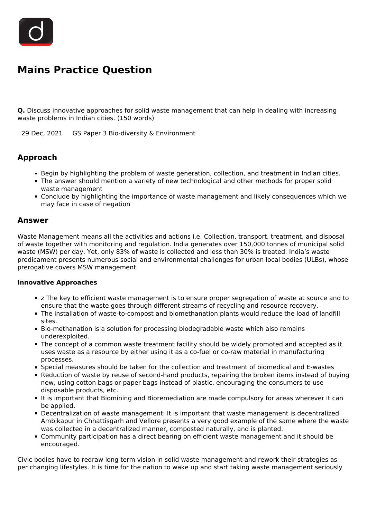

## **Mains Practice Question**

**Q.** Discuss innovative approaches for solid waste management that can help in dealing with increasing waste problems in Indian cities. (150 words)

29 Dec, 2021 GS Paper 3 Bio-diversity & Environment

## **Approach**

- Begin by highlighting the problem of waste generation, collection, and treatment in Indian cities.
- The answer should mention a variety of new technological and other methods for proper solid waste management
- Conclude by highlighting the importance of waste management and likely consequences which we may face in case of negation

## **Answer**

Waste Management means all the activities and actions i.e. Collection, transport, treatment, and disposal of waste together with monitoring and regulation. India generates over 150,000 tonnes of municipal solid waste (MSW) per day. Yet, only 83% of waste is collected and less than 30% is treated. India's waste predicament presents numerous social and environmental challenges for urban local bodies (ULBs), whose prerogative covers MSW management.

## **Innovative Approaches**

- **Example 2** The key to efficient waste management is to ensure proper segregation of waste at source and to ensure that the waste goes through different streams of recycling and resource recovery.
- The installation of waste-to-compost and biomethanation plants would reduce the load of landfill sites.
- **Bio-methanation is a solution for processing biodegradable waste which also remains** underexploited.
- The concept of a common waste treatment facility should be widely promoted and accepted as it uses waste as a resource by either using it as a co-fuel or co-raw material in manufacturing processes.
- Special measures should be taken for the collection and treatment of biomedical and E-wastes
- Reduction of waste by reuse of second-hand products, repairing the broken items instead of buying new, using cotton bags or paper bags instead of plastic, encouraging the consumers to use disposable products, etc.
- It is important that Biomining and Bioremediation are made compulsory for areas wherever it can be applied.
- **Decentralization of waste management: It is important that waste management is decentralized.** Ambikapur in Chhattisgarh and Vellore presents a very good example of the same where the waste was collected in a decentralized manner, composted naturally, and is planted.
- Community participation has a direct bearing on efficient waste management and it should be encouraged.

Civic bodies have to redraw long term vision in solid waste management and rework their strategies as per changing lifestyles. It is time for the nation to wake up and start taking waste management seriously